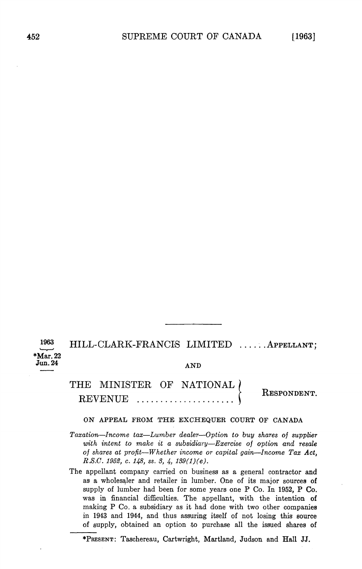1963

HILL-CLARK-FRANCIS LIMITED ...... APPELLANT; \*Mar. 22<br>Jun. 24

 $\text{Jun. }24 \quad \text{AND}$ 

THE MINISTER OF NATIONAL ( REVENUE RESPONDENT

ON APPEAL FROM THE EXCHEQUER COURT OF CANADA

Taxation-Income tax-Lumber dealer-Option to buy shares of supplier with intent to make it a subsidiary-Exercise of option and resale of shares at profit—Whether income or capital gain—Income Tax Act, R.S.C. 1952, c. 148, ss. 3, 4,  $139(1)(e)$ .

The appellant company carried on business as general contractor and as a wholesaler and retailer in lumber. One of its major sources of supply of lumber had been for some years one P Co. In 1952, P Co. was in financial difficulties. The appellant, with the intention of making P Co. a subsidiary as it had done with two other companies in 1943 and <sup>1944</sup> and thus assuring itself of not losing this source of supply obtained an option to purchase all the issued shares of

\*PRESENT: Taschereau, Cartwright, Martland, Judson and Hall JJ.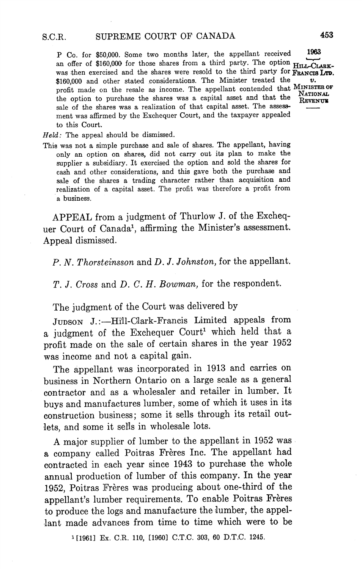P Co. for \$50,000. Some two months later, the appellant received 1963 an offer of \$160,000 for those shares from a third party. The option  $H_{\text{ILL-CLABK-}}$ was then exercised and the shares were resold to the third party for FRANCIS LTD. \$160,000 and other stated considerations. The Minister treated the υ. profit made on the resale as income. The appellant contended that MINISTEE OF the option to purchase the shares was capital asset and that the REVENUE sale of the shares was a realization of that capital asset. The assessment was affirmed by the Exchequer Court, and the taxpayer appealed to this Court

 $Held$ : The appeal should be dismissed.

This was not a simple purchase and sale of shares. The appellant, having only an option on shares, did not carry out its plan to make the supplier a subsidiary. It exercised the option and sold the shares for cash and other considerations, and this gave both the purchase and sale of the shares a trading character rather than acquisition and realization of a capital asset. The profit was therefore a profit from business

APPEAL from a judgment of Thurlow J. of the Exchequer Court of Canada<sup>1</sup>, affirming the Minister's assessment. Appeal dismissed

P. N. Thorsteinsson and D. J. Johnston, for the appellant.

T. J. Cross and D. C. H. Bowman, for the respondent.

The judgment of the Court was delivered by

JUDSON J.:---Hill-Clark-Francis Limited appeals from a judgment of the Exchequer Court<sup>1</sup> which held that a profit made on the sale of certain shares in the year <sup>1952</sup> was income and not a capital gain.

The appellant was incorporated in <sup>1913</sup> and carries on business in Northern Ontario on a large scale as a general contractor and as a wholesaler and retailer in lumber. It buys and manufactures lumber, some of which it uses in its construction business; some it sells through its retail outlets, and some it sells in wholesale lots.

major supplier of lumber to the appellant in <sup>1952</sup> was a company called Poitras Frères Inc. The appellant had contracted in each year since <sup>1943</sup> to purchase the whole annual production of lumber of this company. In the year 1952, Poitras Frères was producing about one-third of the appellant's lumber requirements. To enable Poitras Frères to produce the logs and manufacture the lumber, the appellant made advances from time to time which were to be

<sup>1</sup>[1961] Ex. C.R. 110, [1960] C.T.C. 303, 60 D.T.C. 1245.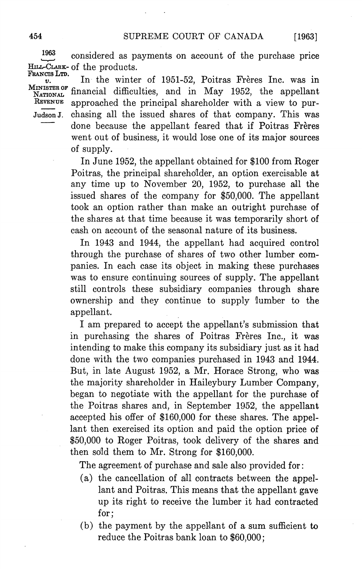$[1963]$ 

1963 considered as payments on account of the purchase price HILL-CLARK- of the products.

FRANCIS LTD.<br> $v.$ In the winter of 1951-52, Poitras Frères Inc. was in MINISTER OF financial difficulties, and in May 1952, the appellant  $R$ EVENUE approached the principal shareholder with a view to pur-Judson J. chasing all the issued shares of that company. This was done because the appellant feared that if Poitras Frères went out of business, it would lose one of its major sources of supply

In June 1952, the appellant obtained for \$100 from Roger Poitras, the principal shareholder, an option exercisable at any time up to November 20, 1952, to purchase all the issued shares of the company for  $$50,000$ . The appellant took an option rather than make an outright purchase of the shares at that time because it was temporarily short of cash on account of the seasonal nature of its business

In 1943 and 1944, the appellant had acquired control through the purchase of shares of two other lumber com panies In each case its object in making these purchases was to ensure continuing sources of supply. The appellant still controls these subsidiary companies through share ownership and they continue to supply lumber to the appellant

I am prepared to accept the appellant's submission that in purchasing the shares of Poitras Frères Inc., it was intending to make this company its subsidiary just as it had done with the two companies purchased in 1943 and 1944 But, in late August 1952, a Mr. Horace Strong, who was the majority shareholder in Haileybury Lumber Company began to negotiate with the appellant for the purchase of the Poitras shares and, in September 1952, the appellant accepted his offer of \$160,000 for these shares. The appellant then exercised its option and paid the option price of \$50,000 to Roger Poitras, took delivery of the shares and then sold them to Mr. Strong for  $$160,000$ .

The agreement of purchase and sale also provided for

- (a) the cancellation of all contracts between the appellant and Poitras. This means that the appellant gave up its right to receive the lumber it had contracted for:
- $(b)$  the payment by the appellant of a sum sufficient to reduce the Poitras bank loan to \$60,000;